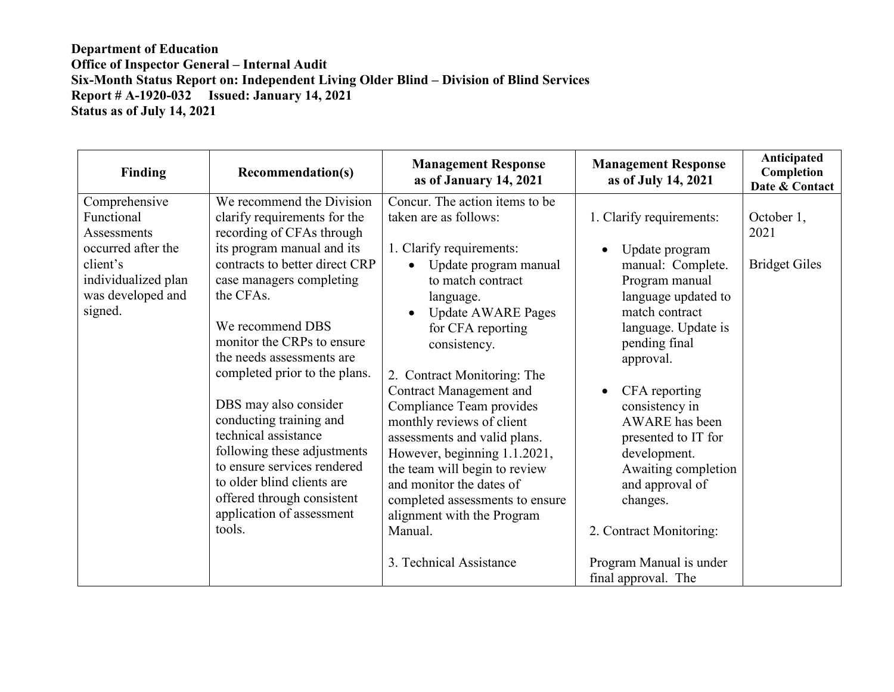| Finding                                                                                                                             | <b>Recommendation(s)</b>                                                                                                                                                                                                                                                                                                                                                                                                                                                                                                                                     | <b>Management Response</b><br>as of January 14, 2021                                                                                                                                                                                                                                                                                                                                                                                                                                                                                                | <b>Management Response</b><br>as of July 14, 2021                                                                                                                                                                                                                                                                                                                                | Anticipated<br>Completion<br>Date & Contact |
|-------------------------------------------------------------------------------------------------------------------------------------|--------------------------------------------------------------------------------------------------------------------------------------------------------------------------------------------------------------------------------------------------------------------------------------------------------------------------------------------------------------------------------------------------------------------------------------------------------------------------------------------------------------------------------------------------------------|-----------------------------------------------------------------------------------------------------------------------------------------------------------------------------------------------------------------------------------------------------------------------------------------------------------------------------------------------------------------------------------------------------------------------------------------------------------------------------------------------------------------------------------------------------|----------------------------------------------------------------------------------------------------------------------------------------------------------------------------------------------------------------------------------------------------------------------------------------------------------------------------------------------------------------------------------|---------------------------------------------|
| Comprehensive<br>Functional<br>Assessments<br>occurred after the<br>client's<br>individualized plan<br>was developed and<br>signed. | We recommend the Division<br>clarify requirements for the<br>recording of CFAs through<br>its program manual and its<br>contracts to better direct CRP<br>case managers completing<br>the CFAs.<br>We recommend DBS<br>monitor the CRPs to ensure<br>the needs assessments are<br>completed prior to the plans.<br>DBS may also consider<br>conducting training and<br>technical assistance<br>following these adjustments<br>to ensure services rendered<br>to older blind clients are<br>offered through consistent<br>application of assessment<br>tools. | Concur. The action items to be<br>taken are as follows:<br>1. Clarify requirements:<br>Update program manual<br>to match contract<br>language.<br><b>Update AWARE Pages</b><br>for CFA reporting<br>consistency.<br>2. Contract Monitoring: The<br><b>Contract Management and</b><br>Compliance Team provides<br>monthly reviews of client<br>assessments and valid plans.<br>However, beginning 1.1.2021,<br>the team will begin to review<br>and monitor the dates of<br>completed assessments to ensure<br>alignment with the Program<br>Manual. | 1. Clarify requirements:<br>Update program<br>$\bullet$<br>manual: Complete.<br>Program manual<br>language updated to<br>match contract<br>language. Update is<br>pending final<br>approval.<br>CFA reporting<br>consistency in<br><b>AWARE</b> has been<br>presented to IT for<br>development.<br>Awaiting completion<br>and approval of<br>changes.<br>2. Contract Monitoring: | October 1,<br>2021<br><b>Bridget Giles</b>  |
|                                                                                                                                     |                                                                                                                                                                                                                                                                                                                                                                                                                                                                                                                                                              | 3. Technical Assistance                                                                                                                                                                                                                                                                                                                                                                                                                                                                                                                             | Program Manual is under<br>final approval. The                                                                                                                                                                                                                                                                                                                                   |                                             |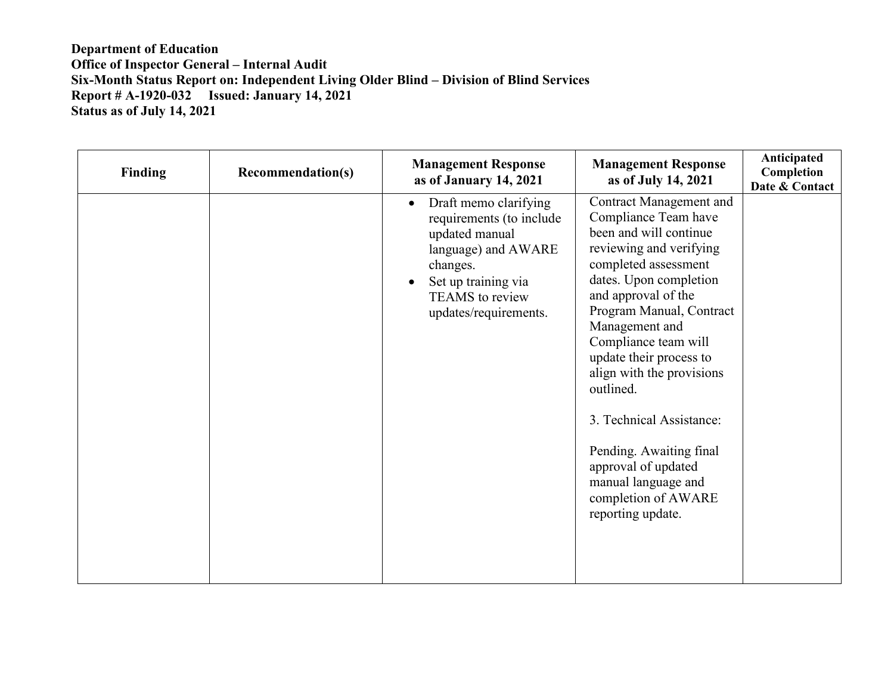| <b>Finding</b> | <b>Recommendation(s)</b> | <b>Management Response</b><br>as of January 14, 2021                                                                                                                                   | <b>Management Response</b><br>as of July 14, 2021                                                                                                                                                                                                                                                                                                                                                                                                                                | Anticipated<br>Completion<br>Date & Contact |
|----------------|--------------------------|----------------------------------------------------------------------------------------------------------------------------------------------------------------------------------------|----------------------------------------------------------------------------------------------------------------------------------------------------------------------------------------------------------------------------------------------------------------------------------------------------------------------------------------------------------------------------------------------------------------------------------------------------------------------------------|---------------------------------------------|
|                |                          | Draft memo clarifying<br>$\bullet$<br>requirements (to include<br>updated manual<br>language) and AWARE<br>changes.<br>Set up training via<br>TEAMS to review<br>updates/requirements. | <b>Contract Management and</b><br>Compliance Team have<br>been and will continue<br>reviewing and verifying<br>completed assessment<br>dates. Upon completion<br>and approval of the<br>Program Manual, Contract<br>Management and<br>Compliance team will<br>update their process to<br>align with the provisions<br>outlined.<br>3. Technical Assistance:<br>Pending. Awaiting final<br>approval of updated<br>manual language and<br>completion of AWARE<br>reporting update. |                                             |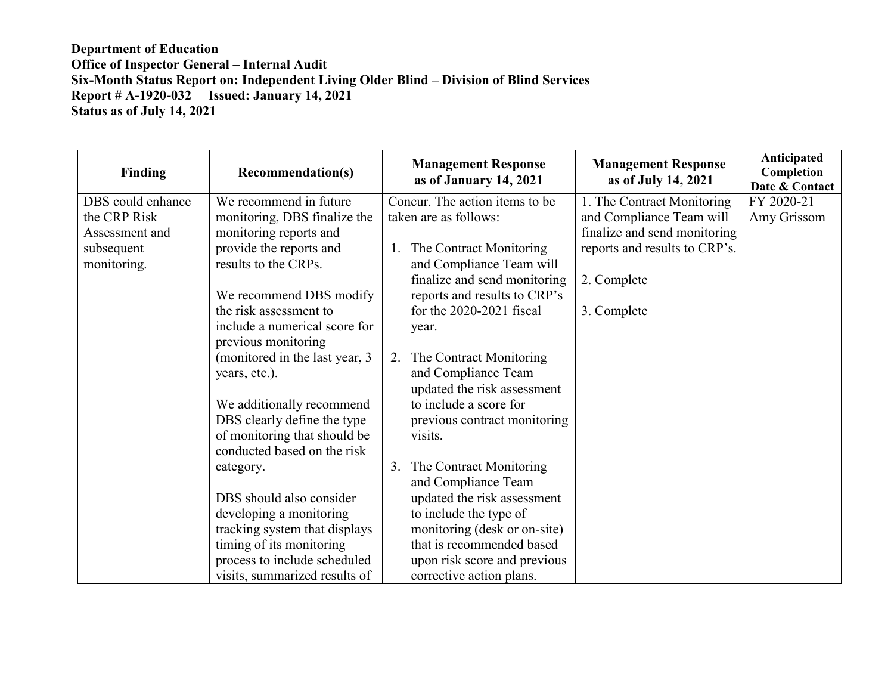| <b>Finding</b>    | <b>Recommendation(s)</b>       | <b>Management Response</b><br>as of January 14, 2021 | <b>Management Response</b><br>as of July 14, 2021 | Anticipated<br>Completion<br>Date & Contact |
|-------------------|--------------------------------|------------------------------------------------------|---------------------------------------------------|---------------------------------------------|
| DBS could enhance | We recommend in future         | Concur. The action items to be                       | 1. The Contract Monitoring                        | FY 2020-21                                  |
| the CRP Risk      | monitoring, DBS finalize the   | taken are as follows:                                | and Compliance Team will                          | Amy Grissom                                 |
| Assessment and    | monitoring reports and         |                                                      | finalize and send monitoring                      |                                             |
| subsequent        | provide the reports and        | The Contract Monitoring<br>1.                        | reports and results to CRP's.                     |                                             |
| monitoring.       | results to the CRPs.           | and Compliance Team will                             |                                                   |                                             |
|                   |                                | finalize and send monitoring                         | 2. Complete                                       |                                             |
|                   | We recommend DBS modify        | reports and results to CRP's                         |                                                   |                                             |
|                   | the risk assessment to         | for the 2020-2021 fiscal                             | 3. Complete                                       |                                             |
|                   | include a numerical score for  | year.                                                |                                                   |                                             |
|                   | previous monitoring            |                                                      |                                                   |                                             |
|                   | (monitored in the last year, 3 | The Contract Monitoring<br>2.                        |                                                   |                                             |
|                   | years, etc.).                  | and Compliance Team                                  |                                                   |                                             |
|                   |                                | updated the risk assessment                          |                                                   |                                             |
|                   | We additionally recommend      | to include a score for                               |                                                   |                                             |
|                   | DBS clearly define the type    | previous contract monitoring                         |                                                   |                                             |
|                   | of monitoring that should be   | visits.                                              |                                                   |                                             |
|                   | conducted based on the risk    |                                                      |                                                   |                                             |
|                   | category.                      | The Contract Monitoring<br>3.<br>and Compliance Team |                                                   |                                             |
|                   | DBS should also consider       | updated the risk assessment                          |                                                   |                                             |
|                   | developing a monitoring        | to include the type of                               |                                                   |                                             |
|                   | tracking system that displays  | monitoring (desk or on-site)                         |                                                   |                                             |
|                   | timing of its monitoring       | that is recommended based                            |                                                   |                                             |
|                   | process to include scheduled   | upon risk score and previous                         |                                                   |                                             |
|                   | visits, summarized results of  | corrective action plans.                             |                                                   |                                             |